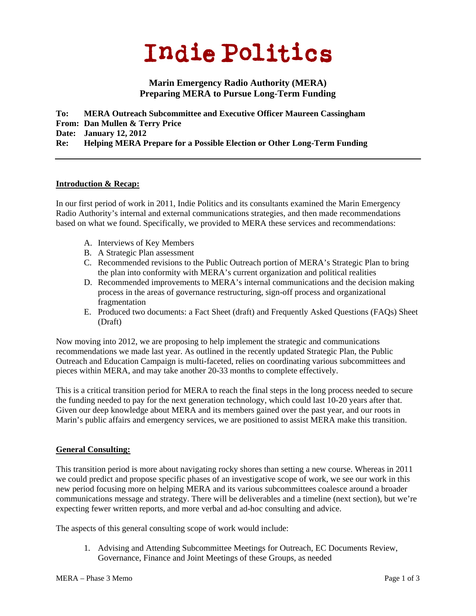# **Indie Politics**

## **Marin Emergency Radio Authority (MERA) Preparing MERA to Pursue Long-Term Funding**

**To: MERA Outreach Subcommittee and Executive Officer Maureen Cassingham From: Dan Mullen & Terry Price Date: January 12, 2012 Re: Helping MERA Prepare for a Possible Election or Other Long-Term Funding** 

#### **Introduction & Recap:**

In our first period of work in 2011, Indie Politics and its consultants examined the Marin Emergency Radio Authority's internal and external communications strategies, and then made recommendations based on what we found. Specifically, we provided to MERA these services and recommendations:

- A. Interviews of Key Members
- B. A Strategic Plan assessment
- C. Recommended revisions to the Public Outreach portion of MERA's Strategic Plan to bring the plan into conformity with MERA's current organization and political realities
- D. Recommended improvements to MERA's internal communications and the decision making process in the areas of governance restructuring, sign-off process and organizational fragmentation
- E. Produced two documents: a Fact Sheet (draft) and Frequently Asked Questions (FAQs) Sheet (Draft)

Now moving into 2012, we are proposing to help implement the strategic and communications recommendations we made last year. As outlined in the recently updated Strategic Plan, the Public Outreach and Education Campaign is multi-faceted, relies on coordinating various subcommittees and pieces within MERA, and may take another 20-33 months to complete effectively.

This is a critical transition period for MERA to reach the final steps in the long process needed to secure the funding needed to pay for the next generation technology, which could last 10-20 years after that. Given our deep knowledge about MERA and its members gained over the past year, and our roots in Marin's public affairs and emergency services, we are positioned to assist MERA make this transition.

#### **General Consulting:**

This transition period is more about navigating rocky shores than setting a new course. Whereas in 2011 we could predict and propose specific phases of an investigative scope of work, we see our work in this new period focusing more on helping MERA and its various subcommittees coalesce around a broader communications message and strategy. There will be deliverables and a timeline (next section), but we're expecting fewer written reports, and more verbal and ad-hoc consulting and advice.

The aspects of this general consulting scope of work would include:

1. Advising and Attending Subcommittee Meetings for Outreach, EC Documents Review, Governance, Finance and Joint Meetings of these Groups, as needed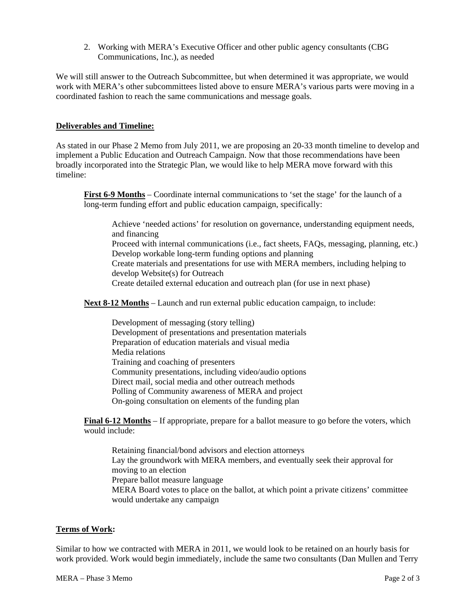2. Working with MERA's Executive Officer and other public agency consultants (CBG Communications, Inc.), as needed

We will still answer to the Outreach Subcommittee, but when determined it was appropriate, we would work with MERA's other subcommittees listed above to ensure MERA's various parts were moving in a coordinated fashion to reach the same communications and message goals.

#### **Deliverables and Timeline:**

As stated in our Phase 2 Memo from July 2011, we are proposing an 20-33 month timeline to develop and implement a Public Education and Outreach Campaign. Now that those recommendations have been broadly incorporated into the Strategic Plan, we would like to help MERA move forward with this timeline:

**First 6-9 Months** – Coordinate internal communications to 'set the stage' for the launch of a long-term funding effort and public education campaign, specifically:

Achieve 'needed actions' for resolution on governance, understanding equipment needs, and financing Proceed with internal communications (i.e., fact sheets, FAQs, messaging, planning, etc.) Develop workable long-term funding options and planning Create materials and presentations for use with MERA members, including helping to develop Website(s) for Outreach Create detailed external education and outreach plan (for use in next phase)

**Next 8-12 Months** – Launch and run external public education campaign, to include:

Development of messaging (story telling) Development of presentations and presentation materials Preparation of education materials and visual media Media relations Training and coaching of presenters Community presentations, including video/audio options Direct mail, social media and other outreach methods Polling of Community awareness of MERA and project On-going consultation on elements of the funding plan

**Final 6-12 Months** – If appropriate, prepare for a ballot measure to go before the voters, which would include:

Retaining financial/bond advisors and election attorneys Lay the groundwork with MERA members, and eventually seek their approval for moving to an election Prepare ballot measure language MERA Board votes to place on the ballot, at which point a private citizens' committee would undertake any campaign

#### **Terms of Work:**

Similar to how we contracted with MERA in 2011, we would look to be retained on an hourly basis for work provided. Work would begin immediately, include the same two consultants (Dan Mullen and Terry